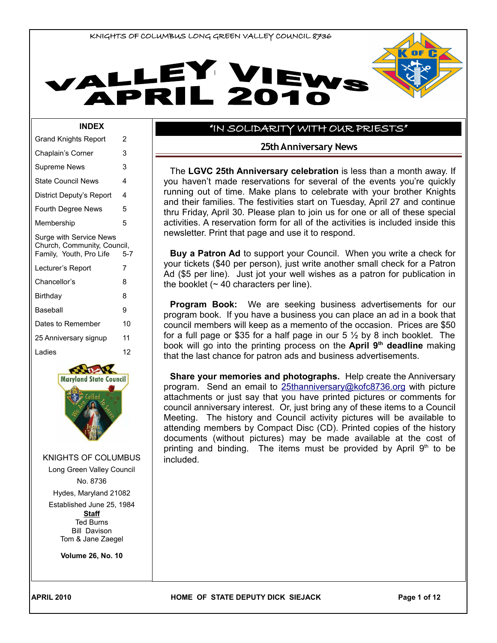



#### **INDEX**

| Grand Knights Report                                   | 2       |
|--------------------------------------------------------|---------|
| Chaplain's Corner                                      | 3       |
| Supreme News                                           | 3       |
| <b>State Council News</b>                              | 4       |
| District Deputy's Report                               | 4       |
| <b>Fourth Degree News</b>                              | 5       |
| Membership                                             | 5       |
| Surge with Service News<br>Church, Community, Council, |         |
| Family, Youth, Pro Life                                | $5 - 7$ |
| Lecturer's Report                                      | 7       |
| Chancellor's                                           | 8       |
| Birthday                                               | 8       |
| Baseball                                               | 9       |
| Dates to Remember                                      | 10      |
| 25 Anniversary signup                                  | 11      |
| Ladies                                                 | 12      |



KNIGHTS OF COLUMBUS

Long Green Valley Council No. 8736

Hydes, Maryland 21082

Established June 25, 1984 **Staff** Ted Burns Bill Davison

Tom & Jane Zaegel

**Volume 26, No. 10**

### "IN SOLIDARITY WITH OUR PRIESTS"

#### **25th Anniversary News**

The **LGVC 25th Anniversary celebration** is less than a month away. If you haven't made reservations for several of the events you're quickly running out of time. Make plans to celebrate with your brother Knights and their families. The festivities start on Tuesday, April 27 and continue thru Friday, April 30. Please plan to join us for one or all of these special activities. A reservation form for all of the activities is included inside this newsletter. Print that page and use it to respond.

**Buy a Patron Ad** to support your Council. When you write a check for your tickets (\$40 per person), just write another small check for a Patron Ad (\$5 per line). Just jot your well wishes as a patron for publication in the booklet  $($   $\sim$  40 characters per line).

**Program Book:** We are seeking business advertisements for our program book. If you have a business you can place an ad in a book that council members will keep as a memento of the occasion. Prices are \$50 for a full page or \$35 for a half page in our  $5\frac{1}{2}$  by 8 inch booklet. The book will go into the printing process on the **April 9th deadline** making that the last chance for patron ads and business advertisements.

**Share your memories and photographs.** Help create the Anniversary program. Send an email to [25thanniversary@kofc8736.org](mailto:25thanniversary@kofc8736.org) with picture attachments or just say that you have printed pictures or comments for council anniversary interest. Or, just bring any of these items to a Council Meeting. The history and Council activity pictures will be available to attending members by Compact Disc (CD). Printed copies of the history documents (without pictures) may be made available at the cost of printing and binding. The items must be provided by April  $9<sup>th</sup>$  to be included.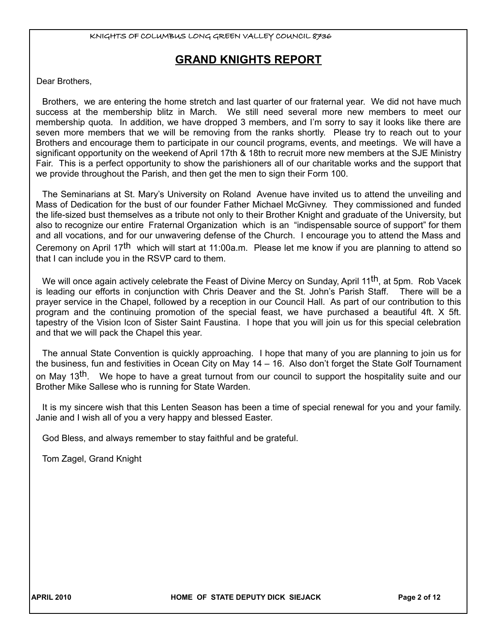# **GRAND KNIGHTS REPORT**

Dear Brothers,

Brothers, we are entering the home stretch and last quarter of our fraternal year. We did not have much success at the membership blitz in March. We still need several more new members to meet our membership quota. In addition, we have dropped 3 members, and I'm sorry to say it looks like there are seven more members that we will be removing from the ranks shortly. Please try to reach out to your Brothers and encourage them to participate in our council programs, events, and meetings. We will have a significant opportunity on the weekend of April 17th & 18th to recruit more new members at the SJE Ministry Fair. This is a perfect opportunity to show the parishioners all of our charitable works and the support that we provide throughout the Parish, and then get the men to sign their Form 100.

The Seminarians at St. Mary's University on Roland Avenue have invited us to attend the unveiling and Mass of Dedication for the bust of our founder Father Michael McGivney. They commissioned and funded the life-sized bust themselves as a tribute not only to their Brother Knight and graduate of the University, but also to recognize our entire Fraternal Organization which is an "indispensable source of support" for them and all vocations, and for our unwavering defense of the Church. I encourage you to attend the Mass and Ceremony on April 17<sup>th</sup> which will start at 11:00a.m. Please let me know if you are planning to attend so that I can include you in the RSVP card to them.

We will once again actively celebrate the Feast of Divine Mercy on Sunday, April 11<sup>th</sup>, at 5pm. Rob Vacek is leading our efforts in conjunction with Chris Deaver and the St. John's Parish Staff. There will be a prayer service in the Chapel, followed by a reception in our Council Hall. As part of our contribution to this program and the continuing promotion of the special feast, we have purchased a beautiful 4ft. X 5ft. tapestry of the Vision Icon of Sister Saint Faustina. I hope that you will join us for this special celebration and that we will pack the Chapel this year.

The annual State Convention is quickly approaching. I hope that many of you are planning to join us for the business, fun and festivities in Ocean City on May 14 – 16. Also don't forget the State Golf Tournament on May 13<sup>th</sup>. We hope to have a great turnout from our council to support the hospitality suite and our Brother Mike Sallese who is running for State Warden.

It is my sincere wish that this Lenten Season has been a time of special renewal for you and your family. Janie and I wish all of you a very happy and blessed Easter.

God Bless, and always remember to stay faithful and be grateful.

Tom Zagel, Grand Knight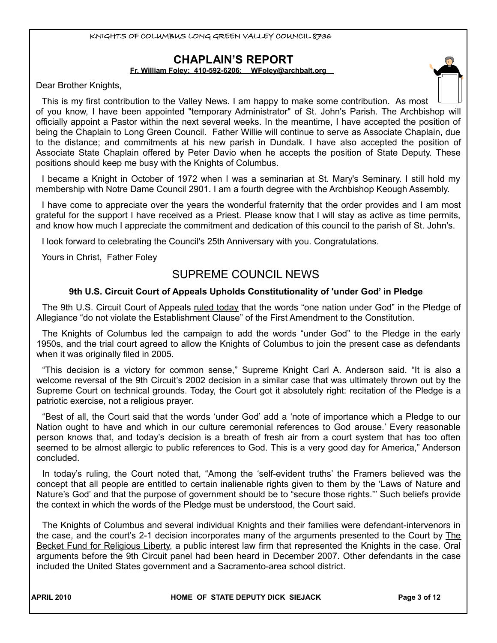# **CHAPLAIN'S REPORT**

**Fr. William Foley; 410-592-6206; WFoley[@archbalt.org](mailto:WFranken@archbalt.org)**

Dear Brother Knights,

This is my first contribution to the Valley News. I am happy to make some contribution. As most of you know, I have been appointed "temporary Administrator" of St. John's Parish. The Archbishop will officially appoint a Pastor within the next several weeks. In the meantime, I have accepted the position of being the Chaplain to Long Green Council. Father Willie will continue to serve as Associate Chaplain, due to the distance; and commitments at his new parish in Dundalk. I have also accepted the position of Associate State Chaplain offered by Peter Davio when he accepts the position of State Deputy. These positions should keep me busy with the Knights of Columbus.

I became a Knight in October of 1972 when I was a seminarian at St. Mary's Seminary. I still hold my membership with Notre Dame Council 2901. I am a fourth degree with the Archbishop Keough Assembly.

I have come to appreciate over the years the wonderful fraternity that the order provides and I am most grateful for the support I have received as a Priest. Please know that I will stay as active as time permits, and know how much I appreciate the commitment and dedication of this council to the parish of St. John's.

I look forward to celebrating the Council's 25th Anniversary with you. Congratulations.

Yours in Christ, Father Foley

# SUPREME COUNCIL NEWS

### **9th U.S. Circuit Court of Appeals Upholds Constitutionality of 'under God' in Pledge**

The 9th U.S. Circuit Court of Appeals ruled today that the words "one nation under God" in the Pledge of Allegiance "do not violate the Establishment Clause" of the First Amendment to the Constitution.

The Knights of Columbus led the campaign to add the words "under God" to the Pledge in the early 1950s, and the trial court agreed to allow the Knights of Columbus to join the present case as defendants when it was originally filed in 2005.

"This decision is a victory for common sense," Supreme Knight Carl A. Anderson said. "It is also a welcome reversal of the 9th Circuit's 2002 decision in a similar case that was ultimately thrown out by the Supreme Court on technical grounds. Today, the Court got it absolutely right: recitation of the Pledge is a patriotic exercise, not a religious prayer.

"Best of all, the Court said that the words 'under God' add a 'note of importance which a Pledge to our Nation ought to have and which in our culture ceremonial references to God arouse.' Every reasonable person knows that, and today's decision is a breath of fresh air from a court system that has too often seemed to be almost allergic to public references to God. This is a very good day for America," Anderson concluded.

In today's ruling, the Court noted that, "Among the 'self-evident truths' the Framers believed was the concept that all people are entitled to certain inalienable rights given to them by the 'Laws of Nature and Nature's God' and that the purpose of government should be to "secure those rights.'" Such beliefs provide the context in which the words of the Pledge must be understood, the Court said.

The Knights of Columbus and several individual Knights and their families were defendant-intervenors in the case, and the court's 2-1 decision incorporates many of the arguments presented to the Court by The Becket Fund for Religious Liberty, a public interest law firm that represented the Knights in the case. Oral arguments before the 9th Circuit panel had been heard in December 2007. Other defendants in the case included the United States government and a Sacramento-area school district.

**APRIL 2010 HOME OF STATE DEPUTY DICK SIEJACK Page 3 of 12**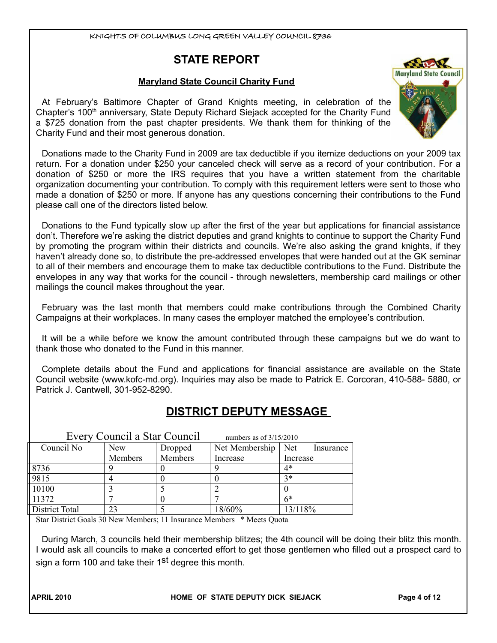# **STATE REPORT**

# **Maryland State Council Charity Fund**

At February's Baltimore Chapter of Grand Knights meeting, in celebration of the Chapter's 100<sup>th</sup> anniversary, State Deputy Richard Siejack accepted for the Charity Fund a \$725 donation from the past chapter presidents. We thank them for thinking of the Charity Fund and their most generous donation.

Donations made to the Charity Fund in 2009 are tax deductible if you itemize deductions on your 2009 tax return. For a donation under \$250 your canceled check will serve as a record of your contribution. For a donation of \$250 or more the IRS requires that you have a written statement from the charitable organization documenting your contribution. To comply with this requirement letters were sent to those who made a donation of \$250 or more. If anyone has any questions concerning their contributions to the Fund please call one of the directors listed below.

Donations to the Fund typically slow up after the first of the year but applications for financial assistance don't. Therefore we're asking the district deputies and grand knights to continue to support the Charity Fund by promoting the program within their districts and councils. We're also asking the grand knights, if they haven't already done so, to distribute the pre-addressed envelopes that were handed out at the GK seminar to all of their members and encourage them to make tax deductible contributions to the Fund. Distribute the envelopes in any way that works for the council - through newsletters, membership card mailings or other mailings the council makes throughout the year.

February was the last month that members could make contributions through the Combined Charity Campaigns at their workplaces. In many cases the employer matched the employee's contribution.

It will be a while before we know the amount contributed through these campaigns but we do want to thank those who donated to the Fund in this manner.

Complete details about the Fund and applications for financial assistance are available on the State Council website (www.kofc-md.org). Inquiries may also be made to Patrick E. Corcoran, 410-588- 5880, or Patrick J. Cantwell, 301-952-8290.

# **DISTRICT DEPUTY MESSAGE**

|                | Every Council a Star Council | numbers as of $3/15/2010$ |                |                  |
|----------------|------------------------------|---------------------------|----------------|------------------|
| Council No     | <b>New</b><br>Dropped        |                           | Net Membership | Net<br>Insurance |
|                | Members<br>Members           |                           | Increase       | Increase         |
| 8736           |                              |                           |                | 4*               |
| 9815           |                              |                           |                | $3*$             |
| 10100          |                              |                           |                |                  |
| 11372          |                              |                           |                | $6*$             |
| District Total |                              |                           | 18/60%         | 13/118%          |

Star District Goals 30 New Members; 11 Insurance Members \* Meets Quota

During March, 3 councils held their membership blitzes; the 4th council will be doing their blitz this month. I would ask all councils to make a concerted effort to get those gentlemen who filled out a prospect card to sign a form 100 and take their 1<sup>st</sup> degree this month.

**APRIL 2010 HOME OF STATE DEPUTY DICK SIEJACK Page 4 of 12**

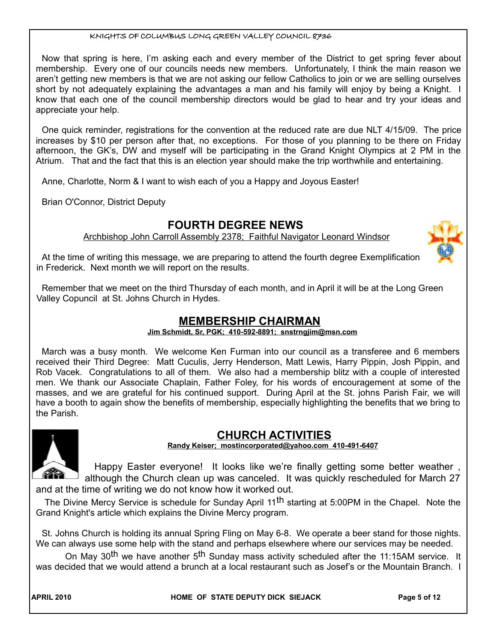Now that spring is here, I'm asking each and every member of the District to get spring fever about membership. Every one of our councils needs new members. Unfortunately, I think the main reason we aren't getting new members is that we are not asking our fellow Catholics to join or we are selling ourselves short by not adequately explaining the advantages a man and his family will enjoy by being a Knight. I know that each one of the council membership directors would be glad to hear and try your ideas and appreciate your help.

One quick reminder, registrations for the convention at the reduced rate are due NLT 4/15/09. The price increases by \$10 per person after that, no exceptions. For those of you planning to be there on Friday afternoon, the GK's, DW and myself will be participating in the Grand Knight Olympics at 2 PM in the Atrium. That and the fact that this is an election year should make the trip worthwhile and entertaining.

Anne, Charlotte, Norm & I want to wish each of you a Happy and Joyous Easter!

Brian O'Connor, District Deputy

# **FOURTH DEGREE NEWS**

Archbishop John Carroll Assembly 2378; Faithful Navigator Leonard Windsor

At the time of writing this message, we are preparing to attend the fourth degree Exemplification in Frederick. Next month we will report on the results.

Remember that we meet on the third Thursday of each month, and in April it will be at the Long Green Valley Copuncil at St. Johns Church in Hydes.

# **MEMBERSHIP CHAIRMAN**

**Jim Schmidt, Sr, PGK; 410-592-8891; snstrngjim@msn.com**

March was a busy month. We welcome Ken Furman into our council as a transferee and 6 members received their Third Degree: Matt Cuculis, Jerry Henderson, Matt Lewis, Harry Pippin, Josh Pippin, and Rob Vacek. Congratulations to all of them. We also had a membership blitz with a couple of interested men. We thank our Associate Chaplain, Father Foley, for his words of encouragement at some of the masses, and we are grateful for his continued support. During April at the St. johns Parish Fair, we will have a booth to again show the benefits of membership, especially highlighting the benefits that we bring to the Parish.



### **CHURCH ACTIVITIES Randy Keiser; [mostincorporated@yahoo.com](mailto:mostincorporated@yahoo.com) 410-491-6407**

Happy Easter everyone! It looks like we're finally getting some better weather , <sup>1</sup> although the Church clean up was canceled. It was quickly rescheduled for March 27 and at the time of writing we do not know how it worked out.

The Divine Mercy Service is schedule for Sunday April 11<sup>th</sup> starting at 5:00PM in the Chapel. Note the Grand Knight's article which explains the Divine Mercy program.

St. Johns Church is holding its annual Spring Fling on May 6-8. We operate a beer stand for those nights. We can always use some help with the stand and perhaps elsewhere where our services may be needed.

On May 30<sup>th</sup> we have another 5<sup>th</sup> Sunday mass activity scheduled after the 11:15AM service. It was decided that we would attend a brunch at a local restaurant such as Josef's or the Mountain Branch. I

APRIL 2010 **Research APPI CITE OF STATE DEPUTY DICK SIEJACK Research Page 5 of 12**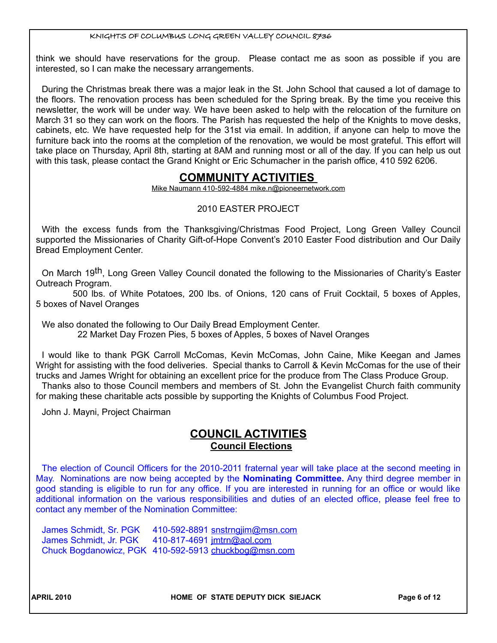think we should have reservations for the group. Please contact me as soon as possible if you are interested, so I can make the necessary arrangements.

During the Christmas break there was a major leak in the St. John School that caused a lot of damage to the floors. The renovation process has been scheduled for the Spring break. By the time you receive this newsletter, the work will be under way. We have been asked to help with the relocation of the furniture on March 31 so they can work on the floors. The Parish has requested the help of the Knights to move desks, cabinets, etc. We have requested help for the 31st via email. In addition, if anyone can help to move the furniture back into the rooms at the completion of the renovation, we would be most grateful. This effort will take place on Thursday, April 8th, starting at 8AM and running most or all of the day. If you can help us out with this task, please contact the Grand Knight or Eric Schumacher in the parish office, 410 592 6206.

# **COMMUNITY ACTIVITIES**

Mike Naumann 410-592-4884 mike.n@pioneernetwork.com

# 2010 EASTER PROJECT

With the excess funds from the Thanksgiving/Christmas Food Project, Long Green Valley Council supported the Missionaries of Charity Gift-of-Hope Convent's 2010 Easter Food distribution and Our Daily Bread Employment Center.

On March 19<sup>th</sup>, Long Green Valley Council donated the following to the Missionaries of Charity's Easter Outreach Program.

 500 lbs. of White Potatoes, 200 lbs. of Onions, 120 cans of Fruit Cocktail, 5 boxes of Apples, 5 boxes of Navel Oranges

We also donated the following to Our Daily Bread Employment Center. 22 Market Day Frozen Pies, 5 boxes of Apples, 5 boxes of Navel Oranges

I would like to thank PGK Carroll McComas, Kevin McComas, John Caine, Mike Keegan and James Wright for assisting with the food deliveries. Special thanks to Carroll & Kevin McComas for the use of their trucks and James Wright for obtaining an excellent price for the produce from The Class Produce Group. Thanks also to those Council members and members of St. John the Evangelist Church faith community for making these charitable acts possible by supporting the Knights of Columbus Food Project.

John J. Mayni, Project Chairman

# **COUNCIL ACTIVITIES Council Elections**

The election of Council Officers for the 2010-2011 fraternal year will take place at the second meeting in May. Nominations are now being accepted by the **Nominating Committee.** Any third degree member in good standing is eligible to run for any office. If you are interested in running for an office or would like additional information on the various responsibilities and duties of an elected office, please feel free to contact any member of the Nomination Committee:

James Schmidt, Sr. PGK 410-592-8891 snstrngjim@msn.com James Schmidt, Jr. PGK 410-817-4691 jmtrn@aol.com Chuck Bogdanowicz, PGK 410-592-5913 [chuckbog@msn.com](mailto:chuckbog@msn.com)

APRIL 2010 **Research APPI CITE OF STATE DEPUTY DICK SIEJACK Page 6 of 12**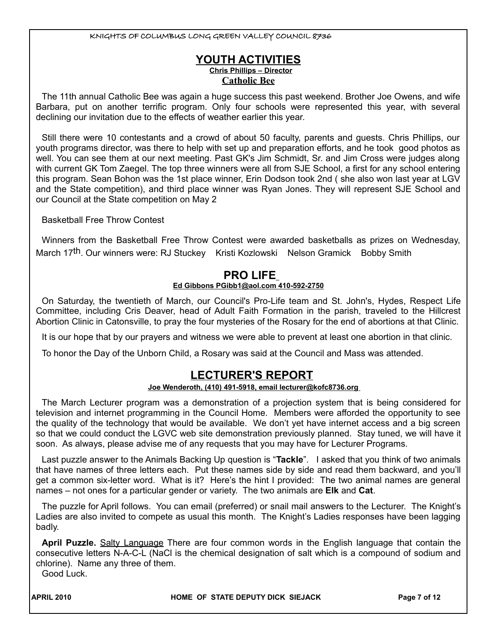# **YOUTH ACTIVITIES Chris Phillips – Director Catholic Bee**

The 11th annual Catholic Bee was again a huge success this past weekend. Brother Joe Owens, and wife Barbara, put on another terrific program. Only four schools were represented this year, with several declining our invitation due to the effects of weather earlier this year.

Still there were 10 contestants and a crowd of about 50 faculty, parents and guests. Chris Phillips, our youth programs director, was there to help with set up and preparation efforts, and he took good photos as well. You can see them at our next meeting. Past GK's Jim Schmidt, Sr. and Jim Cross were judges along with current GK Tom Zaegel. The top three winners were all from SJE School, a first for any school entering this program. Sean Bohon was the 1st place winner, Erin Dodson took 2nd ( she also won last year at LGV and the State competition), and third place winner was Ryan Jones. They will represent SJE School and our Council at the State competition on May 2

Basketball Free Throw Contest

Winners from the Basketball Free Throw Contest were awarded basketballs as prizes on Wednesday, March 17<sup>th</sup>. Our winners were: RJ Stuckey Kristi Kozlowski Nelson Gramick Bobby Smith

# **PRO LIFE**

#### **Ed Gibbons PGibb1@aol.com 410-592-2750**

On Saturday, the twentieth of March, our Council's Pro-Life team and St. John's, Hydes, Respect Life Committee, including Cris Deaver, head of Adult Faith Formation in the parish, traveled to the Hillcrest Abortion Clinic in Catonsville, to pray the four mysteries of the Rosary for the end of abortions at that Clinic.

It is our hope that by our prayers and witness we were able to prevent at least one abortion in that clinic.

To honor the Day of the Unborn Child, a Rosary was said at the Council and Mass was attended.

# **LECTURER'S REPORT**

#### **Joe Wenderoth, (410) 491-5918, email lecturer@kofc8736.org**

The March Lecturer program was a demonstration of a projection system that is being considered for television and internet programming in the Council Home. Members were afforded the opportunity to see the quality of the technology that would be available. We don't yet have internet access and a big screen so that we could conduct the LGVC web site demonstration previously planned. Stay tuned, we will have it soon. As always, please advise me of any requests that you may have for Lecturer Programs.

Last puzzle answer to the Animals Backing Up question is "**Tackle**". I asked that you think of two animals that have names of three letters each. Put these names side by side and read them backward, and you'll get a common six-letter word. What is it? Here's the hint I provided: The two animal names are general names – not ones for a particular gender or variety. The two animals are **Elk** and **Cat**.

The puzzle for April follows. You can email (preferred) or snail mail answers to the Lecturer. The Knight's Ladies are also invited to compete as usual this month. The Knight's Ladies responses have been lagging badly.

**April Puzzle.** Salty Language There are four common words in the English language that contain the consecutive letters N-A-C-L (NaCl is the chemical designation of salt which is a compound of sodium and chlorine). Name any three of them.

Good Luck.

APRIL 2010 **Research APPI CITE OF STATE DEPUTY DICK SIEJACK Research Page 7 of 12**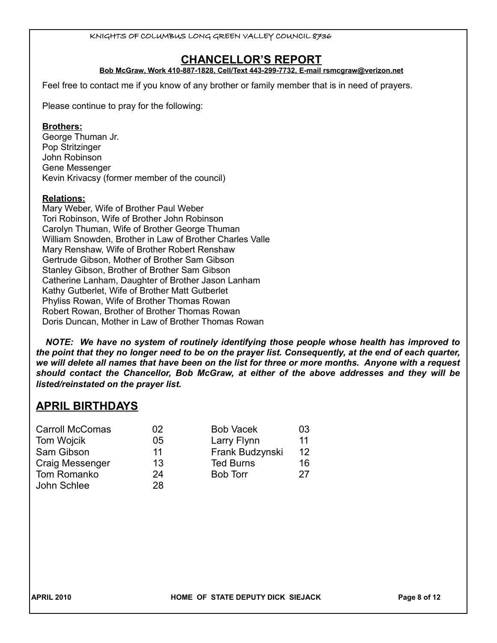# **CHANCELLOR'S REPORT**

#### **Bob McGraw, Work 410-887-1828, Cell/Text 443-299-7732, E-mail rsmcgraw@verizon.net**

Feel free to contact me if you know of any brother or family member that is in need of prayers.

Please continue to pray for the following:

#### **Brothers:**

George Thuman Jr. Pop Stritzinger John Robinson Gene Messenger Kevin Krivacsy (former member of the council)

#### **Relations:**

Mary Weber, Wife of Brother Paul Weber Tori Robinson, Wife of Brother John Robinson Carolyn Thuman, Wife of Brother George Thuman William Snowden, Brother in Law of Brother Charles Valle Mary Renshaw, Wife of Brother Robert Renshaw Gertrude Gibson, Mother of Brother Sam Gibson Stanley Gibson, Brother of Brother Sam Gibson Catherine Lanham, Daughter of Brother Jason Lanham Kathy Gutberlet, Wife of Brother Matt Gutberlet Phyliss Rowan, Wife of Brother Thomas Rowan Robert Rowan, Brother of Brother Thomas Rowan Doris Duncan, Mother in Law of Brother Thomas Rowan

*NOTE: We have no system of routinely identifying those people whose health has improved to the point that they no longer need to be on the prayer list. Consequently, at the end of each quarter, we will delete all names that have been on the list for three or more months. Anyone with a request should contact the Chancellor, Bob McGraw, at either of the above addresses and they will be listed/reinstated on the prayer list.* 

# **APRIL BIRTHDAYS**

| <b>Carroll McComas</b> | 02 | <b>Bob Vacek</b> | 03 |
|------------------------|----|------------------|----|
| Tom Wojcik             | 05 | Larry Flynn      | 11 |
| Sam Gibson             | 11 | Frank Budzynski  | 12 |
| Craig Messenger        | 13 | <b>Ted Burns</b> | 16 |
| Tom Romanko            | 24 | <b>Bob Torr</b>  | 27 |
| John Schlee            | 28 |                  |    |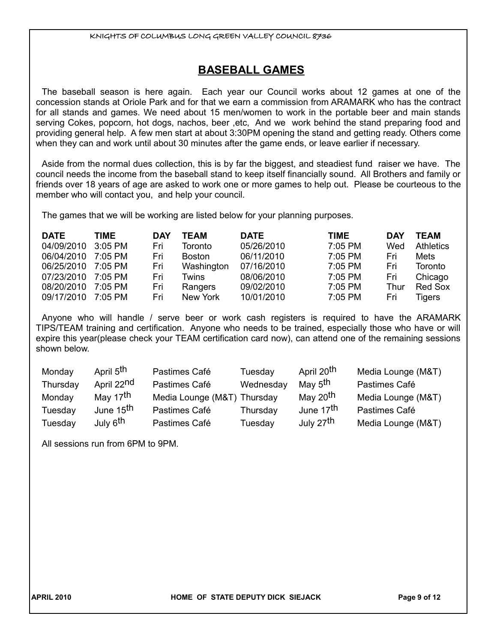# **BASEBALL GAMES**

The baseball season is here again. Each year our Council works about 12 games at one of the concession stands at Oriole Park and for that we earn a commission from ARAMARK who has the contract for all stands and games. We need about 15 men/women to work in the portable beer and main stands serving Cokes, popcorn, hot dogs, nachos, beer ,etc, And we work behind the stand preparing food and providing general help. A few men start at about 3:30PM opening the stand and getting ready. Others come when they can and work until about 30 minutes after the game ends, or leave earlier if necessary.

Aside from the normal dues collection, this is by far the biggest, and steadiest fund raiser we have. The council needs the income from the baseball stand to keep itself financially sound. All Brothers and family or friends over 18 years of age are asked to work one or more games to help out. Please be courteous to the member who will contact you, and help your council.

The games that we will be working are listed below for your planning purposes.

| <b>DATE</b> | TIME      | <b>DAY</b> | TEAM          | <b>DATE</b> | <b>TIME</b> | <b>DAY</b> | TEAM             |
|-------------|-----------|------------|---------------|-------------|-------------|------------|------------------|
| 04/09/2010  | 3:05 PM   | Fri        | Toronto       | 05/26/2010  | $7:05$ PM   | Wed        | <b>Athletics</b> |
| 06/04/2010  | $7:05$ PM | Fri        | <b>Boston</b> | 06/11/2010  | 7:05 PM     | Fri        | Mets             |
| 06/25/2010  | 7:05 PM   | Fri        | Washington    | 07/16/2010  | $7:05$ PM   | Fri        | <b>Toronto</b>   |
| 07/23/2010  | 7:05 PM   | Fri        | Twins         | 08/06/2010  | $7:05$ PM   | Fri        | Chicago          |
| 08/20/2010  | $7:05$ PM | Fri        | Rangers       | 09/02/2010  | 7:05 PM     | Thur       | <b>Red Sox</b>   |
| 09/17/2010  | $7.05$ PM | Fri        | New York      | 10/01/2010  | 7:05 PM     | Fri        | <b>Tigers</b>    |

Anyone who will handle / serve beer or work cash registers is required to have the ARAMARK TIPS/TEAM training and certification. Anyone who needs to be trained, especially those who have or will expire this year(please check your TEAM certification card now), can attend one of the remaining sessions shown below.

| Monday   | April 5 <sup>th</sup>  | Pastimes Café      | Tuesday   | April 20 <sup>th</sup> | Media Lounge (M&T) |
|----------|------------------------|--------------------|-----------|------------------------|--------------------|
| Thursday | April 22 <sup>nd</sup> | Pastimes Café      | Wednesday | May 5 <sup>th</sup>    | Pastimes Café      |
| Monday   | May 17 <sup>th</sup>   | Media Lounge (M&T) | Thursday  | May 20 <sup>th</sup>   | Media Lounge (M&T) |
| Tuesday  | June 15 <sup>th</sup>  | Pastimes Café      | Thursday  | June 17 <sup>th</sup>  | Pastimes Café      |
| Tuesday  | July 6 <sup>th</sup>   | Pastimes Café      | Tuesday   | July 27 <sup>th</sup>  | Media Lounge (M&T) |

All sessions run from 6PM to 9PM.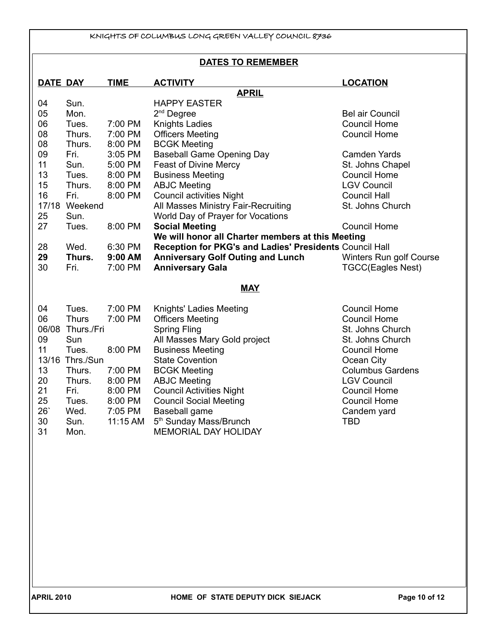| KNIGHTS OF COLUMBUS LONG GREEN VALLEY COUNCIL 8736 |                 |             |                                                                   |                          |  |
|----------------------------------------------------|-----------------|-------------|-------------------------------------------------------------------|--------------------------|--|
| <b>DATES TO REMEMBER</b>                           |                 |             |                                                                   |                          |  |
| <b>DATE DAY</b>                                    |                 | <b>TIME</b> | <b>ACTIVITY</b>                                                   | <b>LOCATION</b>          |  |
|                                                    |                 |             | <b>APRIL</b>                                                      |                          |  |
| 04<br>05                                           | Sun.<br>Mon.    |             | <b>HAPPY EASTER</b>                                               | <b>Bel air Council</b>   |  |
| 06                                                 | Tues.           | 7:00 PM     | $2nd$ Degree<br><b>Knights Ladies</b>                             | <b>Council Home</b>      |  |
| 08                                                 | Thurs.          | 7:00 PM     | <b>Officers Meeting</b>                                           | <b>Council Home</b>      |  |
| 08                                                 | Thurs.          | 8:00 PM     | <b>BCGK Meeting</b>                                               |                          |  |
| 09                                                 | Fri.            | 3:05 PM     | <b>Baseball Game Opening Day</b>                                  | <b>Camden Yards</b>      |  |
| 11                                                 | Sun.            | 5:00 PM     | <b>Feast of Divine Mercy</b>                                      | St. Johns Chapel         |  |
| 13                                                 | Tues.           | 8:00 PM     | <b>Business Meeting</b>                                           | <b>Council Home</b>      |  |
| 15                                                 | Thurs.          | 8:00 PM     | <b>ABJC Meeting</b>                                               | <b>LGV Council</b>       |  |
| 16                                                 | Fri.            | 8:00 PM     | <b>Council activities Night</b>                                   | <b>Council Hall</b>      |  |
| 17/18                                              | Weekend         |             | All Masses Ministry Fair-Recruiting                               | St. Johns Church         |  |
| 25                                                 | Sun.            |             | World Day of Prayer for Vocations                                 |                          |  |
| 27                                                 | Tues.           | 8:00 PM     | <b>Social Meeting</b>                                             | <b>Council Home</b>      |  |
|                                                    |                 |             | We will honor all Charter members at this Meeting                 |                          |  |
| 28                                                 | Wed.            | 6:30 PM     | Reception for PKG's and Ladies' Presidents Council Hall           |                          |  |
| 29                                                 | Thurs.          | 9:00 AM     | <b>Anniversary Golf Outing and Lunch</b>                          | Winters Run golf Course  |  |
| 30                                                 | Fri.            | 7:00 PM     | <b>Anniversary Gala</b>                                           | <b>TGCC(Eagles Nest)</b> |  |
|                                                    |                 |             | <b>MAY</b>                                                        |                          |  |
| 04                                                 | Tues.           | 7:00 PM     | Knights' Ladies Meeting                                           | <b>Council Home</b>      |  |
| 06                                                 | <b>Thurs</b>    | 7:00 PM     | <b>Officers Meeting</b>                                           | <b>Council Home</b>      |  |
| 06/08                                              | Thurs./Fri      |             | <b>Spring Fling</b>                                               | St. Johns Church         |  |
| 09                                                 | Sun             |             | All Masses Mary Gold project                                      | St. Johns Church         |  |
| 11                                                 | Tues.           | 8:00 PM     | <b>Business Meeting</b>                                           | <b>Council Home</b>      |  |
|                                                    | 13/16 Thrs./Sun |             | <b>State Covention</b>                                            | Ocean City               |  |
| 13                                                 | Thurs.          | 7:00 PM     | <b>BCGK Meeting</b>                                               | <b>Columbus Gardens</b>  |  |
| 20                                                 | Thurs.          | 8:00 PM     | <b>ABJC Meeting</b>                                               | <b>LGV Council</b>       |  |
| 21                                                 | Fri.            | 8:00 PM     | <b>Council Activities Night</b>                                   | <b>Council Home</b>      |  |
| 25                                                 | Tues.           | 8:00 PM     | <b>Council Social Meeting</b>                                     | <b>Council Home</b>      |  |
| 26'                                                | Wed.            | 7:05 PM     | Baseball game                                                     | Candem yard              |  |
| 30<br>31                                           | Sun.<br>Mon.    | 11:15 AM    | 5 <sup>th</sup> Sunday Mass/Brunch<br><b>MEMORIAL DAY HOLIDAY</b> | <b>TBD</b>               |  |
|                                                    |                 |             |                                                                   |                          |  |
|                                                    |                 |             |                                                                   |                          |  |
|                                                    |                 |             |                                                                   |                          |  |
|                                                    |                 |             |                                                                   |                          |  |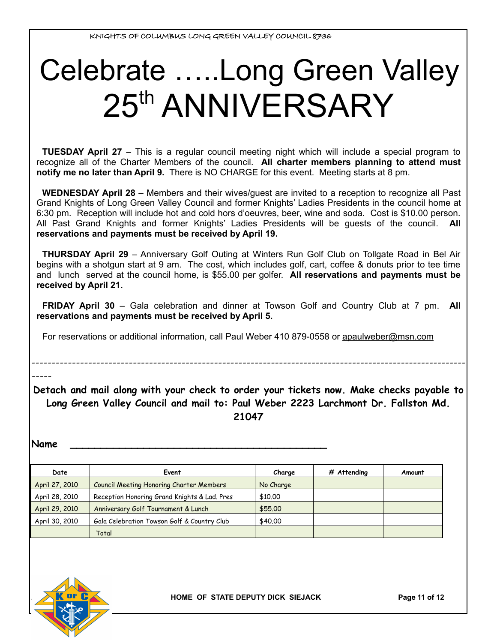# Celebrate …..Long Green Valley 25<sup>th</sup> ANNIVERSARY

**TUESDAY April 27** – This is a regular council meeting night which will include a special program to recognize all of the Charter Members of the council. **All charter members planning to attend must notify me no later than April 9.** There is NO CHARGE for this event. Meeting starts at 8 pm.

**WEDNESDAY April 28** – Members and their wives/guest are invited to a reception to recognize all Past Grand Knights of Long Green Valley Council and former Knights' Ladies Presidents in the council home at 6:30 pm. Reception will include hot and cold hors d'oeuvres, beer, wine and soda. Cost is \$10.00 person. All Past Grand Knights and former Knights' Ladies Presidents will be guests of the council. **All reservations and payments must be received by April 19.**

**THURSDAY April 29** – Anniversary Golf Outing at Winters Run Golf Club on Tollgate Road in Bel Air begins with a shotgun start at 9 am. The cost, which includes golf, cart, coffee & donuts prior to tee time and lunch served at the council home, is \$55.00 per golfer. **All reservations and payments must be received by April 21.**

**FRIDAY April 30** – Gala celebration and dinner at Towson Golf and Country Club at 7 pm. **All reservations and payments must be received by April 5.** 

For reservations or additional information, call Paul Weber 410 879-0558 or [apaulweber@msn.com](mailto:apaulweber@msn.coml)

-----

**Detach and mail along with your check to order your tickets now. Make checks payable to Long Green Valley Council and mail to: Paul Weber 2223 Larchmont Dr. Fallston Md. 21047**

-----------------------------------------------------------------------------------------------------------

**Name \_\_\_\_\_\_\_\_\_\_\_\_\_\_\_\_\_\_\_\_\_\_\_\_\_\_\_\_\_\_\_\_\_\_\_\_\_\_\_\_\_\_**

| Date           | Event                                           | Charge    | # Attending | Amount |
|----------------|-------------------------------------------------|-----------|-------------|--------|
| April 27, 2010 | <b>Council Meeting Honoring Charter Members</b> | No Charge |             |        |
| April 28, 2010 | Reception Honoring Grand Knights & Lad. Pres    | \$10,00   |             |        |
| April 29, 2010 | Anniversary Golf Tournament & Lunch             | \$55,00   |             |        |
| April 30, 2010 | Gala Celebration Towson Golf & Country Club     | \$40,00   |             |        |
|                | Total                                           |           |             |        |